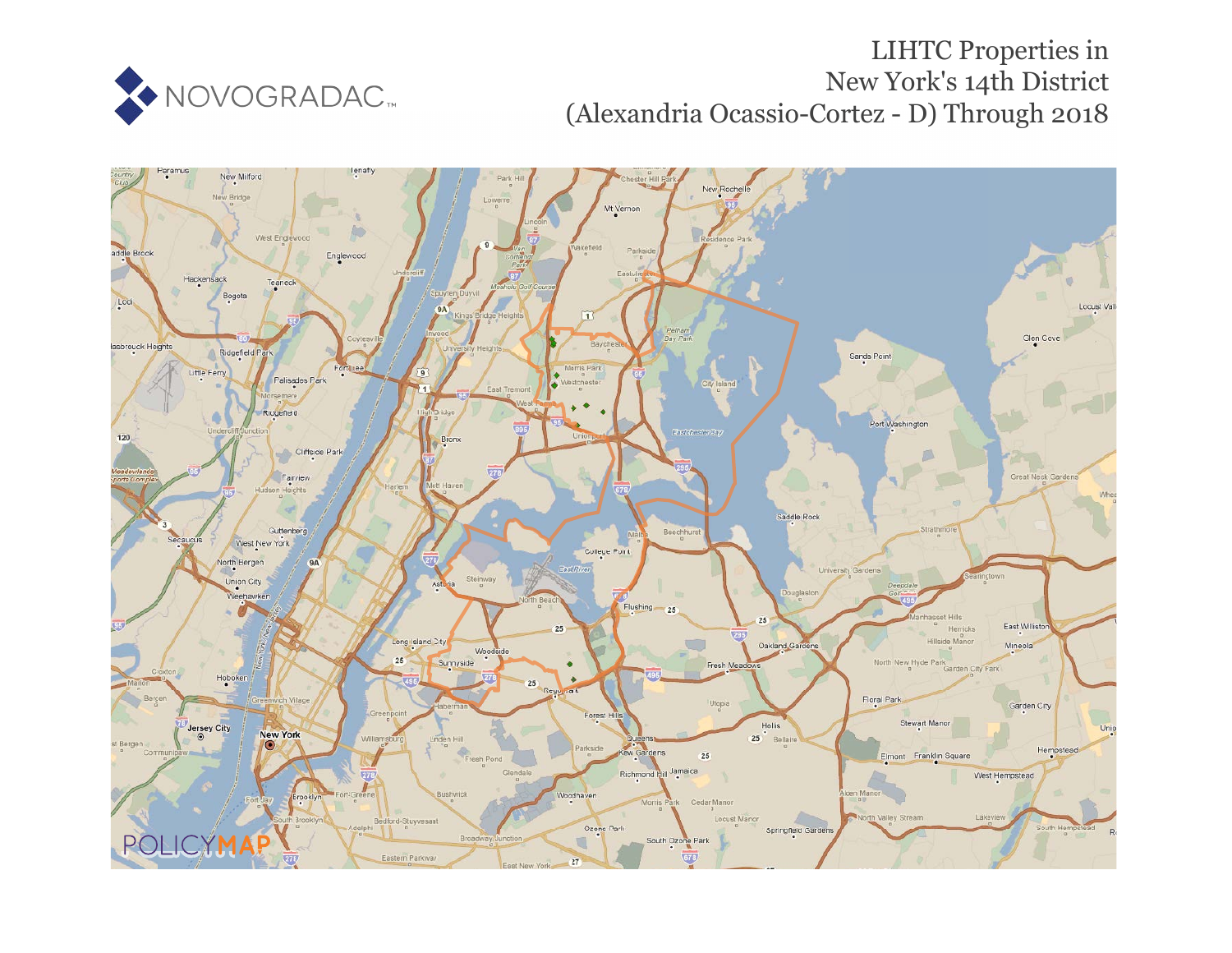

## LIHTC Properties in New York's 14th District (Alexandria Ocassio-Cortez - D) Through 2018

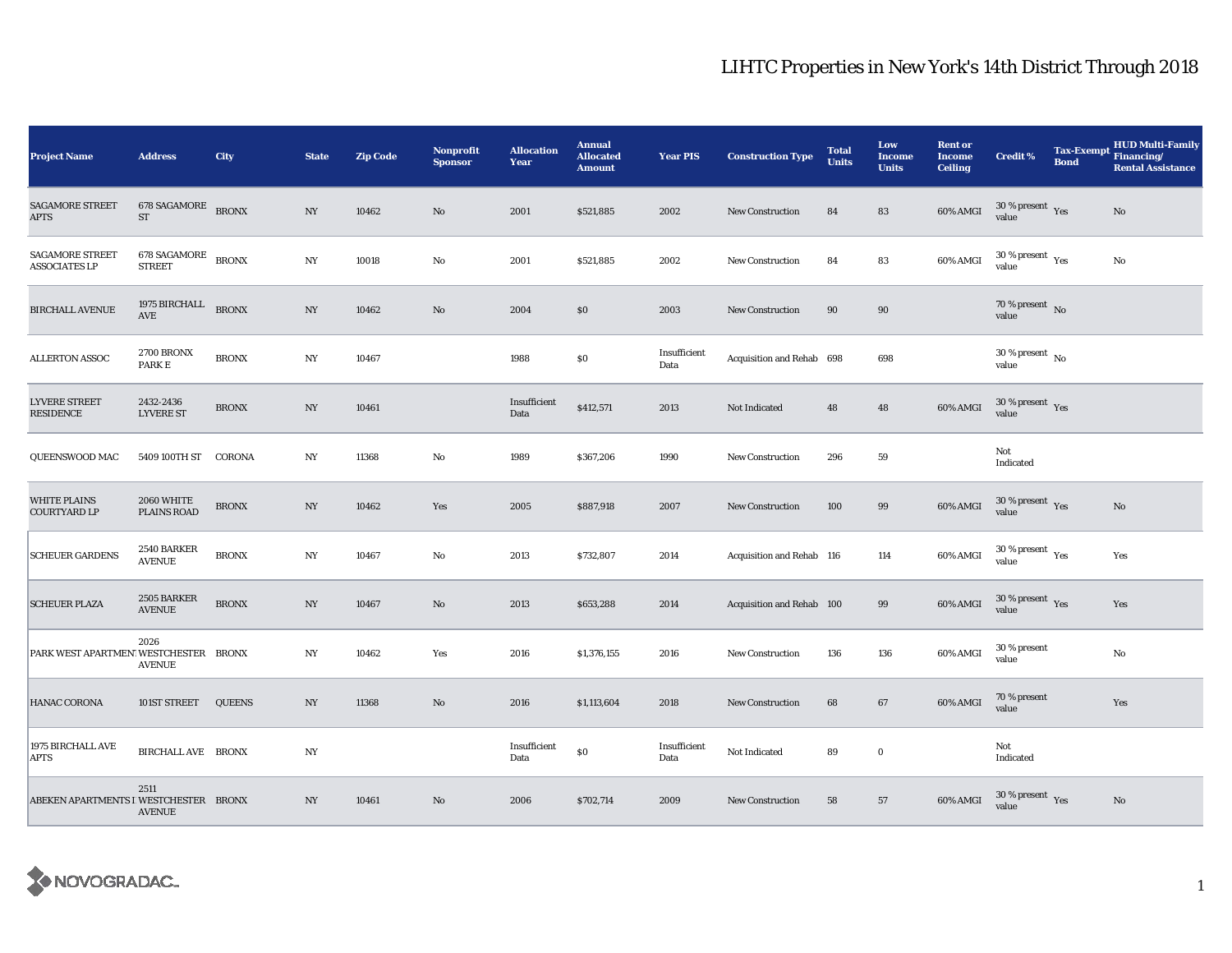## LIHTC Properties in New York's 14th District Through 2018

| <b>Project Name</b>                            | <b>Address</b>                       | City          | <b>State</b>     | <b>Zip Code</b> | <b>Nonprofit</b><br><b>Sponsor</b> | <b>Allocation</b><br>Year | <b>Annual</b><br><b>Allocated</b><br><b>Amount</b> | <b>Year PIS</b>      | <b>Construction Type</b>  | <b>Total</b><br><b>Units</b> | Low<br><b>Income</b><br><b>Units</b> | <b>Rent or</b><br><b>Income</b><br><b>Ceiling</b> | <b>Credit %</b>                                      | Tax-Exempt Financing/<br><b>Bond</b> | <b>HUD Multi-Family</b><br><b>Rental Assistance</b> |
|------------------------------------------------|--------------------------------------|---------------|------------------|-----------------|------------------------------------|---------------------------|----------------------------------------------------|----------------------|---------------------------|------------------------------|--------------------------------------|---------------------------------------------------|------------------------------------------------------|--------------------------------------|-----------------------------------------------------|
| <b>SAGAMORE STREET</b><br><b>APTS</b>          | 678 SAGAMORE BRONX<br>${\rm ST}$     |               | $_{\mathrm{NY}}$ | 10462           | $\mathbf{N}\mathbf{o}$             | 2001                      | \$521,885                                          | 2002                 | <b>New Construction</b>   | 84                           | 83                                   | 60% AMGI                                          | $30\ \%$ present $\rm\thinspace Yes$ value           |                                      | No                                                  |
| <b>SAGAMORE STREET</b><br><b>ASSOCIATES LP</b> | <b>678 SAGAMORE</b><br><b>STREET</b> | <b>BRONX</b>  | $_{\mathrm{NY}}$ | 10018           | $\mathbf{No}$                      | 2001                      | \$521,885                                          | 2002                 | <b>New Construction</b>   | 84                           | 83                                   | 60% AMGI                                          | 30 % present $\rm\thinspace\gamma_{\rm es}$<br>value |                                      | No                                                  |
| <b>BIRCHALL AVENUE</b>                         | 1975 BIRCHALL BRONX<br>AVE           |               | NY               | 10462           | No                                 | 2004                      | $\$0$                                              | 2003                 | New Construction          | 90                           | 90                                   |                                                   | 70 % present $\hbox{~No}$<br>value                   |                                      |                                                     |
| <b>ALLERTON ASSOC</b>                          | <b>2700 BRONX</b><br>PARK E          | <b>BRONX</b>  | NY               | 10467           |                                    | 1988                      | $\$0$                                              | Insufficient<br>Data | Acquisition and Rehab 698 |                              | 698                                  |                                                   | $30$ % present $\,$ No $\,$<br>value                 |                                      |                                                     |
| <b>LYVERE STREET</b><br>RESIDENCE              | 2432-2436<br><b>LYVERE ST</b>        | <b>BRONX</b>  | $_{\mathrm{NY}}$ | 10461           |                                    | Insufficient<br>Data      | \$412,571                                          | 2013                 | Not Indicated             | 48                           | 48                                   | 60% AMGI                                          | $30\,\%$ present $\,$ Yes value                      |                                      |                                                     |
| QUEENSWOOD MAC                                 | 5409 100TH ST CORONA                 |               | $_{\mathrm{NY}}$ | 11368           | $\mathbf{No}$                      | 1989                      | \$367,206                                          | 1990                 | <b>New Construction</b>   | 296                          | 59                                   |                                                   | Not<br>Indicated                                     |                                      |                                                     |
| <b>WHITE PLAINS</b><br>COURTYARD LP            | 2060 WHITE<br>PLAINS ROAD            | <b>BRONX</b>  | NY               | 10462           | Yes                                | 2005                      | \$887,918                                          | 2007                 | New Construction          | 100                          | 99                                   | 60% AMGI                                          | $30\,\%$ present $\,$ Yes value                      |                                      | $\rm No$                                            |
| <b>SCHEUER GARDENS</b>                         | 2540 BARKER<br><b>AVENUE</b>         | <b>BRONX</b>  | NY               | 10467           | No                                 | 2013                      | \$732,807                                          | 2014                 | Acquisition and Rehab 116 |                              | 114                                  | 60% AMGI                                          | $30$ % present $\,$ $\rm Yes$<br>value               |                                      | Yes                                                 |
| <b>SCHEUER PLAZA</b>                           | 2505 BARKER<br><b>AVENUE</b>         | <b>BRONX</b>  | $_{\mathrm{NY}}$ | 10467           | $\mathbf{No}$                      | 2013                      | \$653,288                                          | 2014                 | Acquisition and Rehab 100 |                              | 99                                   | 60% AMGI                                          | $30\,\%$ present $\,$ Yes value                      |                                      | Yes                                                 |
| PARK WEST APARTMEN' WESTCHESTER BRONX          | 2026<br><b>AVENUE</b>                |               | $_{\mathrm{NY}}$ | 10462           | Yes                                | 2016                      | \$1,376,155                                        | 2016                 | <b>New Construction</b>   | 136                          | 136                                  | 60% AMGI                                          | 30 % present<br>value                                |                                      | No                                                  |
| HANAC CORONA                                   | 101ST STREET                         | <b>QUEENS</b> | $_{\mathrm{NY}}$ | 11368           | No                                 | 2016                      | \$1,113,604                                        | 2018                 | New Construction          | 68                           | 67                                   | 60% AMGI                                          | 70 % present<br>value                                |                                      | Yes                                                 |
| 1975 BIRCHALL AVE<br>APTS                      | <b>BIRCHALL AVE BRONX</b>            |               | NY               |                 |                                    | Insufficient<br>Data      | $\$0$                                              | Insufficient<br>Data | Not Indicated             | 89                           | $\bf{0}$                             |                                                   | Not<br>Indicated                                     |                                      |                                                     |
| ABEKEN APARTMENTS I WESTCHESTER BRONX          | 2511<br><b>AVENUE</b>                |               | $_{\mathrm{NY}}$ | 10461           | No                                 | 2006                      | \$702,714                                          | 2009                 | <b>New Construction</b>   | 58                           | 57                                   | 60% AMGI                                          | $30\,\%$ present $\,$ Yes value                      |                                      | $\rm No$                                            |